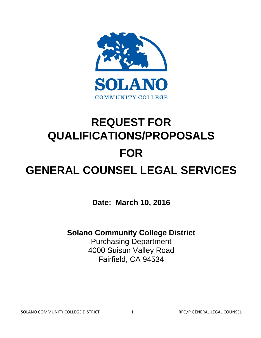

# **REQUEST FOR QUALIFICATIONS/PROPOSALS FOR GENERAL COUNSEL LEGAL SERVICES**

**Date: March 10, 2016**

# **Solano Community College District**

Purchasing Department 4000 Suisun Valley Road Fairfield, CA 94534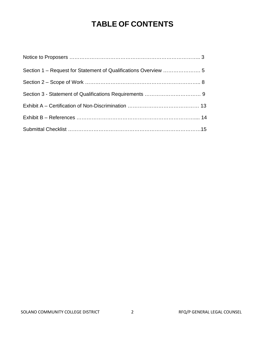# **TABLE OF CONTENTS**

| Section 1 - Request for Statement of Qualifications Overview  5 |  |
|-----------------------------------------------------------------|--|
|                                                                 |  |
|                                                                 |  |
|                                                                 |  |
|                                                                 |  |
|                                                                 |  |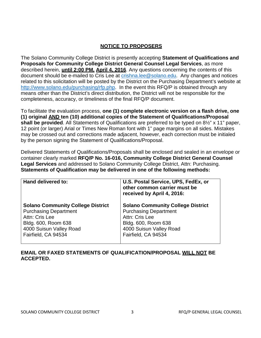#### **NOTICE TO PROPOSERS**

The Solano Community College District is presently accepting **Statement of Qualifications and Proposals for Community College District General Counsel Legal Services**, as more described herein, **until 2:00 PM, April 4, 2016**. Any questions concerning the contents of this document should be e-mailed to Cris Lee at [crishna.lee@solano.edu.](mailto:crishna.lee@solano.edu) Any changes and notices related to this solicitation will be posted by the District on the Purchasing Department's website at [http://www.solano.edu/purchasing/rfp.php.](http://www.solano.edu/purchasing/rfp.php) In the event this RFQ/P is obtained through any means other than the District's direct distribution, the District will not be responsible for the completeness, accuracy, or timeliness of the final RFQ/P document.

To facilitate the evaluation process, **one (1) complete electronic version on a flash drive, one (1) original AND ten (10) additional copies of the Statement of Qualifications/Proposal shall be provided**. All Statements of Qualifications are preferred to be typed on 8½" x 11" paper, 12 point (or larger) Arial or Times New Roman font with 1" page margins on all sides. Mistakes may be crossed out and corrections made adjacent, however, each correction must be initialed by the person signing the Statement of Qualifications/Proposal.

Delivered Statements of Qualifications/Proposals shall be enclosed and sealed in an envelope or container clearly marked **RFQ/P No. 16-016, Community College District General Counsel Legal Services** and addressed to Solano Community College District, Attn: Purchasing. **Statements of Qualification may be delivered in one of the following methods:**

| Hand delivered to:                       | U.S. Postal Service, UPS, FedEx, or<br>other common carrier must be<br>received by April 4, 2016: |
|------------------------------------------|---------------------------------------------------------------------------------------------------|
| <b>Solano Community College District</b> | <b>Solano Community College District</b>                                                          |
| <b>Purchasing Department</b>             | <b>Purchasing Department</b>                                                                      |
| Attn: Cris Lee                           | Attn: Cris Lee                                                                                    |
| Bldg. 600, Room 638                      | Bldg. 600, Room 638                                                                               |
| 4000 Suisun Valley Road                  | 4000 Suisun Valley Road                                                                           |
| Fairfield, CA 94534                      | Fairfield, CA 94534                                                                               |

#### **EMAIL OR FAXED STATEMENTS OF QUALIFICATION/PROPOSAL WILL NOT BE ACCEPTED.**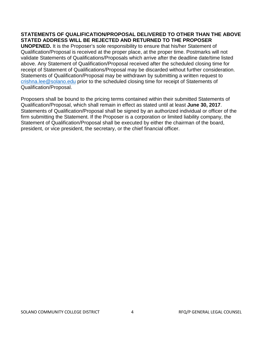#### **STATEMENTS OF QUALIFICATION/PROPOSAL DELIVERED TO OTHER THAN THE ABOVE STATED ADDRESS WILL BE REJECTED AND RETURNED TO THE PROPOSER**

**UNOPENED.** It is the Proposer's sole responsibility to ensure that his/her Statement of Qualification/Proposal is received at the proper place, at the proper time. Postmarks will not validate Statements of Qualifications/Proposals which arrive after the deadline date/time listed above. Any Statement of Qualification/Proposal received after the scheduled closing time for receipt of Statement of Qualifications/Proposal may be discarded without further consideration. Statements of Qualification/Proposal may be withdrawn by submitting a written request to [crishna.lee@solano.edu](mailto:crishna.lee@solano.edu) prior to the scheduled closing time for receipt of Statements of Qualification/Proposal.

Proposers shall be bound to the pricing terms contained within their submitted Statements of Qualification/Proposal, which shall remain in effect as stated until at least **June 30, 2017**. Statements of Qualification/Proposal shall be signed by an authorized individual or officer of the firm submitting the Statement. If the Proposer is a corporation or limited liability company, the Statement of Qualification/Proposal shall be executed by either the chairman of the board, president, or vice president, the secretary, or the chief financial officer.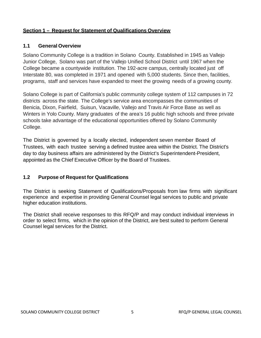# **Section 1 – Request for Statement of Qualifications Overview**

#### **1.1 General Overview**

Solano Community College is a tradition in Solano County. Established in 1945 as Vallejo Junior College, Solano was part of the Vallejo Unified School District until 1967 when the College became a countywide institution. The 192-acre campus, centrally located just off Interstate 80, was completed in 1971 and opened with 5,000 students. Since then, facilities, programs, staff and services have expanded to meet the growing needs of a growing county.

Solano College is part of California's public community college system of 112 campuses in 72 districts across the state. The College's service area encompasses the communities of Benicia, Dixon, Fairfield, Suisun, Vacaville, Vallejo and Travis Air Force Base as well as Winters in Yolo County. Many graduates of the area's 16 public high schools and three private schools take advantage of the educational opportunities offered by Solano Community College.

The District is governed by a locally elected, independent seven member Board of Trustees, with each trustee serving a defined trustee area within the District. The District's day to day business affairs are administered by the District's Superintendent-President, appointed as the Chief Executive Officer by the Board of Trustees.

# **1.2 Purpose of Request for Qualifications**

The District is seeking Statement of Qualifications/Proposals from law firms with significant experience and expertise in providing General Counsel legal services to public and private higher education institutions.

The District shall receive responses to this RFQ/P and may conduct individual interviews in order to select firms, which in the opinion of the District, are best suited to perform General Counsel legal services for the District.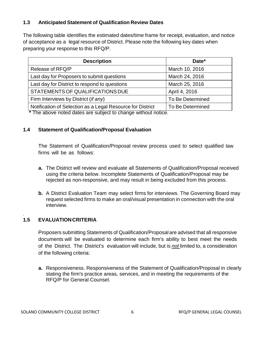# **1.3 Anticipated Statement of Qualification Review Dates**

The following table identifies the estimated dates/time frame for receipt, evaluation, and notice of acceptance as a legal resource of District. Please note the following key dates when preparing your response to this RFQ/P.

| <b>Description</b>                                                                                                           | Date*            |
|------------------------------------------------------------------------------------------------------------------------------|------------------|
| Release of RFQ/P                                                                                                             | March 10, 2016   |
| Last day for Proposers to submit questions                                                                                   | March 24, 2016   |
| Last day for District to respond to questions                                                                                | March 25, 2016   |
| STATEMENTS OF QUALIFICATIONS DUE                                                                                             | April 4, 2016    |
| Firm Interviews by District (if any)                                                                                         | To Be Determined |
| Notification of Selection as a Legal Resource for District<br>$*$ The shous noted detec are subject to shoppe without notice | To Be Determined |

**\*** The above noted dates are subject to change without notice.

#### **1.4 Statement of Qualification/Proposal Evaluation**

The Statement of Qualification/Proposal review process used to select qualified law firms will be as follows:

- **a.** The District will review and evaluate all Statements of Qualification/Proposal received using the criteria below. Incomplete Statements of Qualification/Proposal may be rejected as non-responsive, and may result in being excluded from this process.
- **b.** A District Evaluation Team may select firms for interviews. The Governing Board may request selected firms to make an oral/visual presentation in connection with the oral interview.

# **1.5 EVALUATIONCRITERIA**

.

Proposers submitting Statements of Qualification/Proposal are advised that all responsive documents will be evaluated to determine each firm's ability to best meet the needs of the District. The District's evaluation will include, but is *not* limited to, a consideration of the following criteria:

**a.** Responsiveness. Responsiveness of the Statement of Qualification/Proposal in clearly stating the firm's practice areas, services, and in meeting the requirements of the RFQ/P for General Counsel.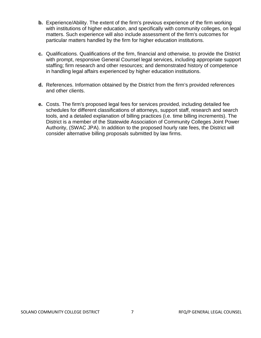- **b.** Experience/Ability. The extent of the firm's previous experience of the firm working with institutions of higher education, and specifically with community colleges, on legal matters. Such experience will also include assessment of the firm's outcomes for particular matters handled by the firm for higher education institutions.
- **c.** Qualifications. Qualifications of the firm, financial and otherwise, to provide the District with prompt, responsive General Counsel legal services, including appropriate support staffing; firm research and other resources; and demonstrated history of competence in handling legal affairs experienced by higher education institutions.
- **d.** References. Information obtained by the District from the firm's provided references and other clients.
- **e.** Costs. The firm's proposed legal fees for services provided, including detailed fee schedules for different classifications of attorneys, support staff, research and search tools, and a detailed explanation of billing practices (i.e. time billing increments). The District is a member of the Statewide Association of Community Colleges Joint Power Authority, (SWAC JPA). In addition to the proposed hourly rate fees, the District will consider alternative billing proposals submitted by law firms.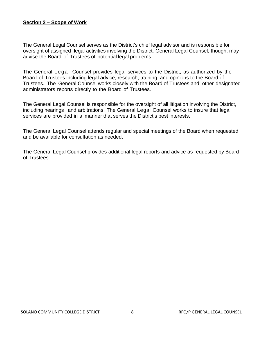#### **Section 2 – Scope of Work**

The General Legal Counsel serves as the District's chief legal advisor and is responsible for oversight of assigned legal activities involving the District. General Legal Counsel, though, may advise the Board of Trustees of potential legal problems.

The General Legal Counsel provides legal services to the District, as authorized by the Board of Trustees including legal advice, research, training, and opinions to the Board of Trustees. The General Counsel works closely with the Board of Trustees and other designated administrators reports directly to the Board of Trustees.

The General Legal Counsel is responsible for the oversight of all litigation involving the District, including hearings and arbitrations. The General Legal Counsel works to insure that legal services are provided in a manner that serves the District's best interests.

The General Legal Counsel attends regular and special meetings of the Board when requested and be available for consultation as needed.

The General Legal Counsel provides additional legal reports and advice as requested by Board of Trustees.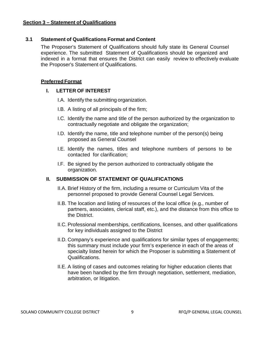#### **Section 3 – Statement of Qualifications**

#### **3.1 Statement of Qualifications Format and Content**

The Proposer's Statement of Qualifications should fully state its General Counsel experience. The submitted Statement of Qualifications should be organized and indexed in a format that ensures the District can easily review to effectively evaluate the Proposer's Statement of Qualifications.

#### **Preferred Format**

#### **I. LETTER OF INTEREST**

- I.A. Identify the submitting organization.
- I.B. A listing of all principals of the firm;
- I.C. Identify the name and title of the person authorized by the organization to contractually negotiate and obligate the organization;
- I.D. Identify the name, title and telephone number of the person(s) being proposed as General Counsel
- I.E. Identify the names, titles and telephone numbers of persons to be contacted for clarification;
- I.F. Be signed by the person authorized to contractually obligate the organization.

#### **II. SUBMISSION OF STATEMENT OF QUALIFICATIONS**

- II.A. Brief History of the firm, including a resume or Curriculum Vita of the personnel proposed to provide General Counsel Legal Services.
- II.B. The location and listing of resources of the local office (e.g., number of partners, associates, clerical staff, etc.), and the distance from this office to the District.
- II.C. Professional memberships, certifications, licenses, and other qualifications for key individuals assigned to the District
- II.D. Company's experience and qualifications for similar types of engagements; this summary must include your firm's experience in each of the areas of specialty listed herein for which the Proposer is submitting a Statement of Qualifications.
- II.E. A listing of cases and outcomes relating for higher education clients that have been handled by the firm through negotiation, settlement, mediation, arbitration, or litigation.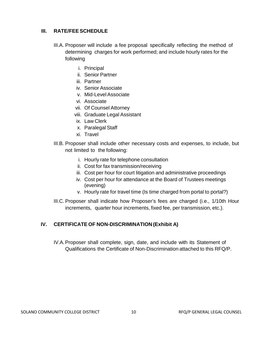#### **III. RATE/FEESCHEDULE**

- III.A. Proposer will include a fee proposal specifically reflecting the method of determining charges for work performed; and include hourly rates for the following
	- i. Principal
	- ii. Senior Partner
	- iii. Partner
	- iv. Senior Associate
	- v. Mid-LevelAssociate
	- vi. Associate
	- vii. Of Counsel Attorney
	- viii. Graduate Legal Assistant
	- ix. Law Clerk
	- x. Paralegal Staff
	- xi. Travel
- III.B. Proposer shall include other necessary costs and expenses, to include, but not limited to the following:
	- i. Hourly rate for telephone consultation
	- ii. Cost for fax transmission/receiving
	- iii. Cost per hour for court litigation and administrative proceedings
	- iv. Cost per hour for attendance at the Board of Trustees meetings (evening)
	- v. Hourly rate for travel time (Is time charged from portal to portal?)
- III.C. Proposer shall indicate how Proposer's fees are charged (i.e., 1/10th Hour increments, quarter hour increments, fixed fee, per transmission, etc.).

# **IV. CERTIFICATE OF NON-DISCRIMINATION (Exhibit A)**

IV.A.Proposer shall complete, sign, date, and include with its Statement of Qualifications the Certificate of Non-Discrimination attached to this RFQ/P.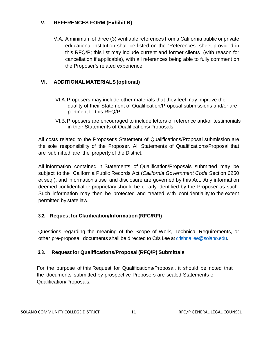# **V. REFERENCES FORM (Exhibit B)**

V.A. A minimum of three (3) verifiable references from a California public or private educational institution shall be listed on the "References" sheet provided in this RFQ/P; this list may include current and former clients (with reason for cancellation if applicable), with all references being able to fully comment on the Proposer's related experience;

# **VI. ADDITIONAL MATERIALS (optional)**

- VI.A.Proposers may include other materials that they feel may improve the quality of their Statement of Qualification/Proposal submissions and/or are pertinent to this RFQ/P.
- VI.B.Proposers are encouraged to include letters of reference and/or testimonials in their Statements of Qualifications/Proposals.

All costs related to the Proposer's Statement of Qualifications/Proposal submission are the sole responsibility of the Proposer. All Statements of Qualifications/Proposal that are submitted are the property of the District.

All information contained in Statements of Qualification/Proposals submitted may be subject to the California Public Records Act (*California Government Code* Section 6250 et seq.), and information's use and disclosure are governed by this Act. Any information deemed confidential or proprietary should be clearly identified by the Proposer as such. Such information may then be protected and treated with confidentiality to the extent permitted by state law.

# **3.2. Request for Clarification/Information(RFC/RFI)**

Questions regarding the meaning of the Scope of Work, Technical Requirements, or other pre-proposal documents shall be directed to Cris Lee at [crishna.lee@solano.edu.](mailto:crishna.lee@solano.edu)

# **3.3. Request for Qualifications/Proposal(RFQ/P) Submittals**

For the purpose of this Request for Qualifications/Proposal, it should be noted that the documents submitted by prospective Proposers are sealed Statements of Qualification/Proposals.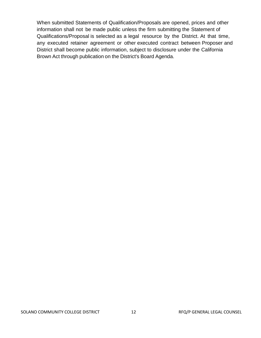When submitted Statements of Qualification/Proposals are opened, prices and other information shall not be made public unless the firm submitting the Statement of Qualifications/Proposal is selected as a legal resource by the District. At that time, any executed retainer agreement or other executed contract between Proposer and District shall become public information, subject to disclosure under the California Brown Act through publication on the District's Board Agenda.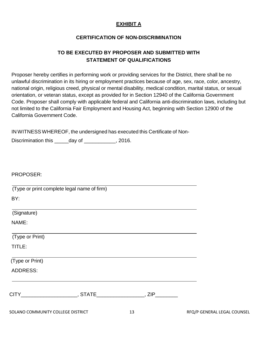# **EXHIBIT A**

#### **CERTIFICATION OF NON-DISCRIMINATION**

# **TO BE EXECUTED BY PROPOSER AND SUBMITTED WITH STATEMENT OF QUALIFICATIONS**

Proposer hereby certifies in performing work or providing services for the District, there shall be no unlawful discrimination in its hiring or employment practices because of age, sex, race, color, ancestry, national origin, religious creed, physical or mental disability, medical condition, marital status, or sexual orientation, or veteran status, except as provided for in Section 12940 of the California Government Code. Proposer shall comply with applicable federal and California anti-discrimination laws, including but not limited to the California Fair Employment and Housing Act, beginning with Section 12900 of the California Government Code.

IN WITNESSWHEREOF, the undersigned has executed this Certificate of Non-

Discrimination this \_\_\_\_\_day of \_\_\_\_\_\_\_\_\_\_\_, 2016.

PROPOSER:

 (Type or print complete legal name of firm) BY:

(Signature)

NAME:

(Type or Print)

TITLE:

(Type or Print)

ADDRESS:

| _ |  |
|---|--|
|   |  |

SOLANO COMMUNITY COLLEGE DISTRICT 13 13 THE RFQ/P GENERAL LEGAL COUNSEL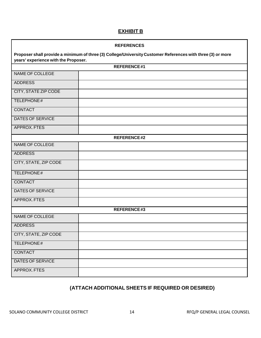# **EXHIBIT B**

| <b>REFERENCES</b>                                                                                                                                   |                    |  |  |
|-----------------------------------------------------------------------------------------------------------------------------------------------------|--------------------|--|--|
| Proposer shall provide a minimum of three (3) College/University Customer References with three (3) or more<br>years' experience with the Proposer. |                    |  |  |
|                                                                                                                                                     | <b>REFERENCE#1</b> |  |  |
| NAME OF COLLEGE                                                                                                                                     |                    |  |  |
| <b>ADDRESS</b>                                                                                                                                      |                    |  |  |
| <b>CITY, STATE ZIP CODE</b>                                                                                                                         |                    |  |  |
| TELEPHONE#                                                                                                                                          |                    |  |  |
| <b>CONTACT</b>                                                                                                                                      |                    |  |  |
| <b>DATES OF SERVICE</b>                                                                                                                             |                    |  |  |
| APPROX. FTES                                                                                                                                        |                    |  |  |
|                                                                                                                                                     | <b>REFERENCE#2</b> |  |  |
| NAME OF COLLEGE                                                                                                                                     |                    |  |  |
| <b>ADDRESS</b>                                                                                                                                      |                    |  |  |
| CITY, STATE, ZIP CODE                                                                                                                               |                    |  |  |
| TELEPHONE#                                                                                                                                          |                    |  |  |
| <b>CONTACT</b>                                                                                                                                      |                    |  |  |
| <b>DATES OF SERVICE</b>                                                                                                                             |                    |  |  |
| APPROX. FTES                                                                                                                                        |                    |  |  |
| REFERENCE#3                                                                                                                                         |                    |  |  |
| NAME OF COLLEGE                                                                                                                                     |                    |  |  |
| <b>ADDRESS</b>                                                                                                                                      |                    |  |  |
| CITY, STATE, ZIP CODE                                                                                                                               |                    |  |  |
| TELEPHONE#                                                                                                                                          |                    |  |  |
| <b>CONTACT</b>                                                                                                                                      |                    |  |  |
| <b>DATES OF SERVICE</b>                                                                                                                             |                    |  |  |
| APPROX. FTES                                                                                                                                        |                    |  |  |

# **(ATTACH ADDITIONAL SHEETS IF REQUIRED OR DESIRED)**